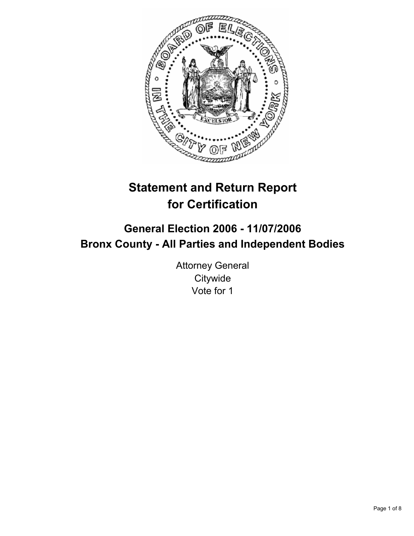

# **Statement and Return Report for Certification**

## **General Election 2006 - 11/07/2006 Bronx County - All Parties and Independent Bodies**

Attorney General **Citywide** Vote for 1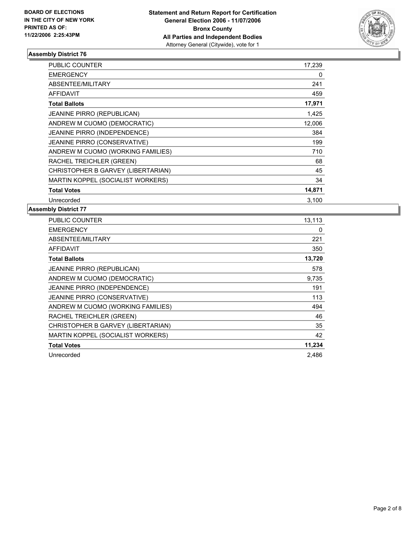

| PUBLIC COUNTER                     | 17,239 |  |
|------------------------------------|--------|--|
| <b>EMERGENCY</b>                   | 0      |  |
| ABSENTEE/MILITARY                  | 241    |  |
| <b>AFFIDAVIT</b>                   | 459    |  |
| <b>Total Ballots</b>               | 17,971 |  |
| <b>JEANINE PIRRO (REPUBLICAN)</b>  | 1,425  |  |
| ANDREW M CUOMO (DEMOCRATIC)        | 12,006 |  |
| JEANINE PIRRO (INDEPENDENCE)       | 384    |  |
| JEANINE PIRRO (CONSERVATIVE)       | 199    |  |
| ANDREW M CUOMO (WORKING FAMILIES)  | 710    |  |
| RACHEL TREICHLER (GREEN)           | 68     |  |
| CHRISTOPHER B GARVEY (LIBERTARIAN) | 45     |  |
| MARTIN KOPPEL (SOCIALIST WORKERS)  | 34     |  |
| <b>Total Votes</b>                 | 14,871 |  |
| Unrecorded                         | 3,100  |  |

| PUBLIC COUNTER                     | 13,113 |
|------------------------------------|--------|
| <b>EMERGENCY</b>                   | 0      |
| ABSENTEE/MILITARY                  | 221    |
| <b>AFFIDAVIT</b>                   | 350    |
| <b>Total Ballots</b>               | 13,720 |
| JEANINE PIRRO (REPUBLICAN)         | 578    |
| ANDREW M CUOMO (DEMOCRATIC)        | 9,735  |
| JEANINE PIRRO (INDEPENDENCE)       | 191    |
| JEANINE PIRRO (CONSERVATIVE)       | 113    |
| ANDREW M CUOMO (WORKING FAMILIES)  | 494    |
| RACHEL TREICHLER (GREEN)           | 46     |
| CHRISTOPHER B GARVEY (LIBERTARIAN) | 35     |
| MARTIN KOPPEL (SOCIALIST WORKERS)  | 42     |
| <b>Total Votes</b>                 | 11,234 |
| Unrecorded                         | 2.486  |
|                                    |        |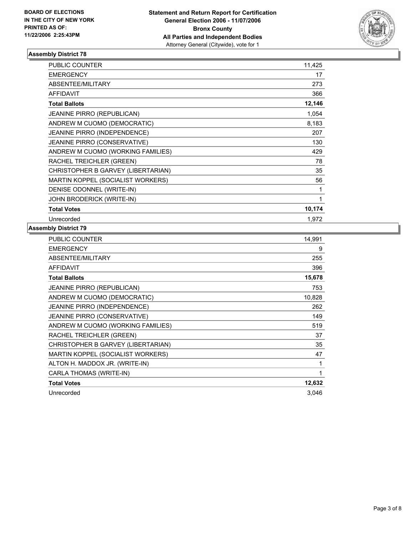

| <b>PUBLIC COUNTER</b>               | 11,425 |
|-------------------------------------|--------|
| <b>EMERGENCY</b>                    | 17     |
| ABSENTEE/MILITARY                   | 273    |
| <b>AFFIDAVIT</b>                    | 366    |
| <b>Total Ballots</b>                | 12,146 |
| <b>JEANINE PIRRO (REPUBLICAN)</b>   | 1,054  |
| ANDREW M CUOMO (DEMOCRATIC)         | 8,183  |
| JEANINE PIRRO (INDEPENDENCE)        | 207    |
| <b>JEANINE PIRRO (CONSERVATIVE)</b> | 130    |
| ANDREW M CUOMO (WORKING FAMILIES)   | 429    |
| RACHEL TREICHLER (GREEN)            | 78     |
| CHRISTOPHER B GARVEY (LIBERTARIAN)  | 35     |
| MARTIN KOPPEL (SOCIALIST WORKERS)   | 56     |
| DENISE ODONNEL (WRITE-IN)           |        |
| JOHN BRODERICK (WRITE-IN)           |        |
| <b>Total Votes</b>                  | 10,174 |
| Unrecorded                          | 1,972  |

| PUBLIC COUNTER                     | 14,991 |
|------------------------------------|--------|
| <b>EMERGENCY</b>                   | 9      |
| ABSENTEE/MILITARY                  | 255    |
| <b>AFFIDAVIT</b>                   | 396    |
| <b>Total Ballots</b>               | 15,678 |
| <b>JEANINE PIRRO (REPUBLICAN)</b>  | 753    |
| ANDREW M CUOMO (DEMOCRATIC)        | 10,828 |
| JEANINE PIRRO (INDEPENDENCE)       | 262    |
| JEANINE PIRRO (CONSERVATIVE)       | 149    |
| ANDREW M CUOMO (WORKING FAMILIES)  | 519    |
| RACHEL TREICHLER (GREEN)           | 37     |
| CHRISTOPHER B GARVEY (LIBERTARIAN) | 35     |
| MARTIN KOPPEL (SOCIALIST WORKERS)  | 47     |
| ALTON H. MADDOX JR. (WRITE-IN)     |        |
| CARLA THOMAS (WRITE-IN)            |        |
| <b>Total Votes</b>                 | 12,632 |
| Unrecorded                         | 3,046  |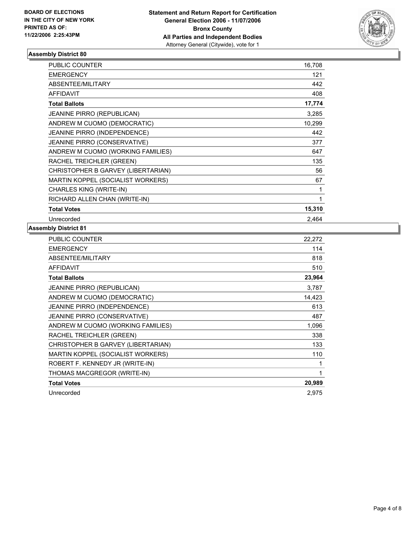

| <b>PUBLIC COUNTER</b>               | 16,708 |
|-------------------------------------|--------|
| <b>EMERGENCY</b>                    | 121    |
| ABSENTEE/MILITARY                   | 442    |
| <b>AFFIDAVIT</b>                    | 408    |
| <b>Total Ballots</b>                | 17,774 |
| <b>JEANINE PIRRO (REPUBLICAN)</b>   | 3,285  |
| ANDREW M CUOMO (DEMOCRATIC)         | 10,299 |
| JEANINE PIRRO (INDEPENDENCE)        | 442    |
| <b>JEANINE PIRRO (CONSERVATIVE)</b> | 377    |
| ANDREW M CUOMO (WORKING FAMILIES)   | 647    |
| RACHEL TREICHLER (GREEN)            | 135    |
| CHRISTOPHER B GARVEY (LIBERTARIAN)  | 56     |
| MARTIN KOPPEL (SOCIALIST WORKERS)   | 67     |
| CHARLES KING (WRITE-IN)             |        |
| RICHARD ALLEN CHAN (WRITE-IN)       |        |
| <b>Total Votes</b>                  | 15,310 |
| Unrecorded                          | 2.464  |

| <b>PUBLIC COUNTER</b>              | 22,272 |
|------------------------------------|--------|
| <b>EMERGENCY</b>                   | 114    |
| ABSENTEE/MILITARY                  | 818    |
| <b>AFFIDAVIT</b>                   | 510    |
| <b>Total Ballots</b>               | 23,964 |
| JEANINE PIRRO (REPUBLICAN)         | 3,787  |
| ANDREW M CUOMO (DEMOCRATIC)        | 14,423 |
| JEANINE PIRRO (INDEPENDENCE)       | 613    |
| JEANINE PIRRO (CONSERVATIVE)       | 487    |
| ANDREW M CUOMO (WORKING FAMILIES)  | 1,096  |
| RACHEL TREICHLER (GREEN)           | 338    |
| CHRISTOPHER B GARVEY (LIBERTARIAN) | 133    |
| MARTIN KOPPEL (SOCIALIST WORKERS)  | 110    |
| ROBERT F. KENNEDY JR (WRITE-IN)    |        |
| THOMAS MACGREGOR (WRITE-IN)        |        |
| <b>Total Votes</b>                 | 20,989 |
| Unrecorded                         | 2,975  |
|                                    |        |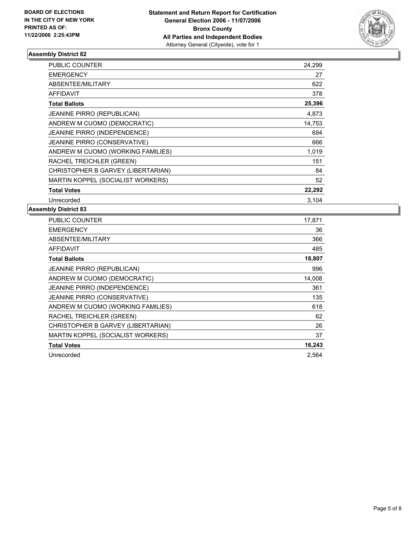

| <b>PUBLIC COUNTER</b>               | 24,299 |  |
|-------------------------------------|--------|--|
| <b>EMERGENCY</b>                    | 27     |  |
| ABSENTEE/MILITARY                   | 622    |  |
| AFFIDAVIT                           | 378    |  |
| <b>Total Ballots</b>                | 25,396 |  |
| <b>JEANINE PIRRO (REPUBLICAN)</b>   | 4,873  |  |
| ANDREW M CUOMO (DEMOCRATIC)         | 14,753 |  |
| JEANINE PIRRO (INDEPENDENCE)        | 694    |  |
| <b>JEANINE PIRRO (CONSERVATIVE)</b> | 666    |  |
| ANDREW M CUOMO (WORKING FAMILIES)   | 1,019  |  |
| RACHEL TREICHLER (GREEN)            | 151    |  |
| CHRISTOPHER B GARVEY (LIBERTARIAN)  | 84     |  |
| MARTIN KOPPEL (SOCIALIST WORKERS)   | 52     |  |
| <b>Total Votes</b>                  | 22,292 |  |
| Unrecorded                          | 3.104  |  |

| PUBLIC COUNTER                     | 17,871 |
|------------------------------------|--------|
| <b>EMERGENCY</b>                   | 36     |
| ABSENTEE/MILITARY                  | 366    |
| <b>AFFIDAVIT</b>                   | 485    |
| <b>Total Ballots</b>               | 18,807 |
| <b>JEANINE PIRRO (REPUBLICAN)</b>  | 996    |
| ANDREW M CUOMO (DEMOCRATIC)        | 14,008 |
| JEANINE PIRRO (INDEPENDENCE)       | 361    |
| JEANINE PIRRO (CONSERVATIVE)       | 135    |
| ANDREW M CUOMO (WORKING FAMILIES)  | 618    |
| RACHEL TREICHLER (GREEN)           | 62     |
| CHRISTOPHER B GARVEY (LIBERTARIAN) | 26     |
| MARTIN KOPPEL (SOCIALIST WORKERS)  | 37     |
| <b>Total Votes</b>                 | 16,243 |
| Unrecorded                         | 2,564  |
|                                    |        |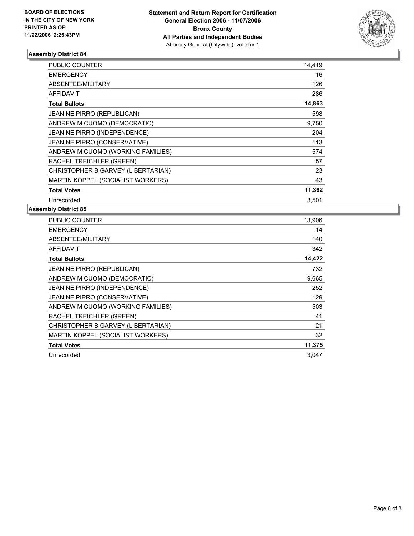

| <b>PUBLIC COUNTER</b>              | 14,419 |
|------------------------------------|--------|
| <b>EMERGENCY</b>                   | 16     |
| ABSENTEE/MILITARY                  | 126    |
| <b>AFFIDAVIT</b>                   | 286    |
| <b>Total Ballots</b>               | 14,863 |
| <b>JEANINE PIRRO (REPUBLICAN)</b>  | 598    |
| ANDREW M CUOMO (DEMOCRATIC)        | 9,750  |
| JEANINE PIRRO (INDEPENDENCE)       | 204    |
| JEANINE PIRRO (CONSERVATIVE)       | 113    |
| ANDREW M CUOMO (WORKING FAMILIES)  | 574    |
| RACHEL TREICHLER (GREEN)           | 57     |
| CHRISTOPHER B GARVEY (LIBERTARIAN) | 23     |
| MARTIN KOPPEL (SOCIALIST WORKERS)  | 43     |
| <b>Total Votes</b>                 | 11,362 |
| Unrecorded                         | 3,501  |

| PUBLIC COUNTER                     | 13,906 |
|------------------------------------|--------|
| <b>EMERGENCY</b>                   | 14     |
| ABSENTEE/MILITARY                  | 140    |
| <b>AFFIDAVIT</b>                   | 342    |
| <b>Total Ballots</b>               | 14,422 |
| JEANINE PIRRO (REPUBLICAN)         | 732    |
| ANDREW M CUOMO (DEMOCRATIC)        | 9,665  |
| JEANINE PIRRO (INDEPENDENCE)       | 252    |
| JEANINE PIRRO (CONSERVATIVE)       | 129    |
| ANDREW M CUOMO (WORKING FAMILIES)  | 503    |
| RACHEL TREICHLER (GREEN)           | 41     |
| CHRISTOPHER B GARVEY (LIBERTARIAN) | 21     |
| MARTIN KOPPEL (SOCIALIST WORKERS)  | 32     |
| <b>Total Votes</b>                 | 11,375 |
| Unrecorded                         | 3,047  |
|                                    |        |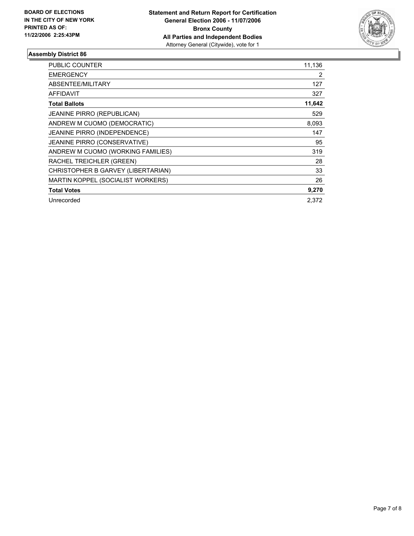

| PUBLIC COUNTER                      | 11,136 |
|-------------------------------------|--------|
| <b>EMERGENCY</b>                    | 2      |
| ABSENTEE/MILITARY                   | 127    |
| AFFIDAVIT                           | 327    |
| <b>Total Ballots</b>                | 11,642 |
| <b>JEANINE PIRRO (REPUBLICAN)</b>   | 529    |
| ANDREW M CUOMO (DEMOCRATIC)         | 8,093  |
| <b>JEANINE PIRRO (INDEPENDENCE)</b> | 147    |
| JEANINE PIRRO (CONSERVATIVE)        | 95     |
| ANDREW M CUOMO (WORKING FAMILIES)   | 319    |
| RACHEL TREICHLER (GREEN)            | 28     |
| CHRISTOPHER B GARVEY (LIBERTARIAN)  | 33     |
| MARTIN KOPPEL (SOCIALIST WORKERS)   | 26     |
| <b>Total Votes</b>                  | 9,270  |
| Unrecorded                          | 2.372  |